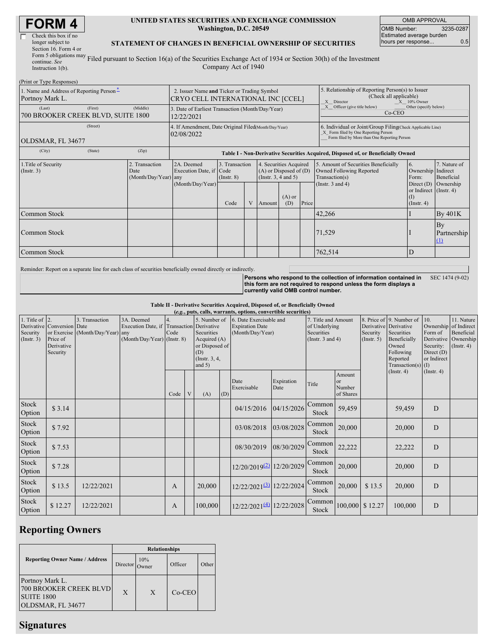| <b>FORM4</b> |
|--------------|
|--------------|

| Check this box if no                                    |
|---------------------------------------------------------|
| longer subject to                                       |
| Section 16. Form 4 or                                   |
| Form 5 obligations may F                                |
| continue. See                                           |
| $T_{11}$ = 4 = = = + $\frac{1}{2}$ = = 1 $(1, \lambda)$ |

 $(D_n)$  of  $D_n$   $\mathbb{R}$  and  $D_n$ 

#### **UNITED STATES SECURITIES AND EXCHANGE COMMISSION Washington, D.C. 20549**

OMB APPROVAL OMB Number: 3235-0287 Estimated average burden hours per response... 0.5

### **STATEMENT OF CHANGES IN BENEFICIAL OWNERSHIP OF SECURITIES**

Instruction 1(b). Filed pursuant to Section 16(a) of the Securities Exchange Act of 1934 or Section 30(h) of the Investment Company Act of 1940

| (FILITURE 1 YPC RESPOSSES)<br>1. Name and Address of Reporting Person-<br>Portnoy Mark L. | 2. Issuer Name and Ticker or Trading Symbol<br>CRYO CELL INTERNATIONAL INC [CCEL] |                                                                    |                                                                                  |                                   |   |                                                                                  | 5. Relationship of Reporting Person(s) to Issuer<br>(Check all applicable)<br>$X = 10\%$ Owner<br>X Director |                                                                                                                                                    |                                                                                    |                                                                  |                               |  |
|-------------------------------------------------------------------------------------------|-----------------------------------------------------------------------------------|--------------------------------------------------------------------|----------------------------------------------------------------------------------|-----------------------------------|---|----------------------------------------------------------------------------------|--------------------------------------------------------------------------------------------------------------|----------------------------------------------------------------------------------------------------------------------------------------------------|------------------------------------------------------------------------------------|------------------------------------------------------------------|-------------------------------|--|
| (Last)<br>700 BROOKER CREEK BLVD, SUITE 1800                                              | 3. Date of Earliest Transaction (Month/Day/Year)<br>12/22/2021                    |                                                                    |                                                                                  |                                   |   |                                                                                  | X Officer (give title below)<br>Other (specify below)<br>Co-CEO                                              |                                                                                                                                                    |                                                                                    |                                                                  |                               |  |
| OLDSMAR, FL 34677                                                                         | (Street)                                                                          | 4. If Amendment, Date Original Filed(Month/Day/Year)<br>02/08/2022 |                                                                                  |                                   |   |                                                                                  |                                                                                                              | 6. Individual or Joint/Group Filing(Check Applicable Line)<br>X Form filed by One Reporting Person<br>Form filed by More than One Reporting Person |                                                                                    |                                                                  |                               |  |
| (City)                                                                                    | (State)                                                                           | (Zip)                                                              | Table I - Non-Derivative Securities Acquired, Disposed of, or Beneficially Owned |                                   |   |                                                                                  |                                                                                                              |                                                                                                                                                    |                                                                                    |                                                                  |                               |  |
| 1. Title of Security<br>(Insert. 3)                                                       |                                                                                   | 2. Transaction<br>Date<br>(Month/Day/Year) any                     | 2A. Deemed<br>Execution Date, if Code                                            | 3. Transaction<br>$($ Instr. $8)$ |   | 4. Securities Acquired<br>$(A)$ or Disposed of $(D)$<br>(Instr. $3, 4$ and $5$ ) |                                                                                                              |                                                                                                                                                    | 5. Amount of Securities Beneficially<br>Owned Following Reported<br>Transaction(s) | 6.<br>Ownership Indirect<br>Form:                                | 7. Nature of<br>Beneficial    |  |
|                                                                                           |                                                                                   |                                                                    | (Month/Day/Year)                                                                 | Code                              | V | Amount                                                                           | $(A)$ or<br>(D)                                                                                              | Price                                                                                                                                              | (Instr. $3$ and $4$ )                                                              | Direct $(D)$<br>or Indirect $($ Instr. 4 $)$<br>$($ Instr. 4 $)$ | Ownership                     |  |
| Common Stock                                                                              |                                                                                   |                                                                    |                                                                                  |                                   |   |                                                                                  |                                                                                                              |                                                                                                                                                    | 42,266                                                                             |                                                                  | By 401K                       |  |
| Common Stock                                                                              |                                                                                   |                                                                    |                                                                                  |                                   |   |                                                                                  |                                                                                                              |                                                                                                                                                    | 71,529                                                                             |                                                                  | By<br>Partnership<br>$\Omega$ |  |
| Common Stock                                                                              |                                                                                   |                                                                    |                                                                                  |                                   |   |                                                                                  |                                                                                                              |                                                                                                                                                    | 762,514                                                                            | D                                                                |                               |  |

Reminder: Report on a separate line for each class of securities beneficially owned directly or indirectly.

**Persons who respond to the collection of information contained in this form are not required to respond unless the form displays a currently valid OMB control number.** SEC 1474 (9-02)

**Table II - Derivative Securities Acquired, Disposed of, or Beneficially Owned**

|                                                   | (e.g., puts, calls, warrants, options, convertible securities)   |                                                    |                                                                                          |            |   |                                                                                                    |     |                                                                       |                    |                                                                             |                                            |                                                  |                                                                                                                  |                                                                                                   |                                                           |
|---------------------------------------------------|------------------------------------------------------------------|----------------------------------------------------|------------------------------------------------------------------------------------------|------------|---|----------------------------------------------------------------------------------------------------|-----|-----------------------------------------------------------------------|--------------------|-----------------------------------------------------------------------------|--------------------------------------------|--------------------------------------------------|------------------------------------------------------------------------------------------------------------------|---------------------------------------------------------------------------------------------------|-----------------------------------------------------------|
| 1. Title of $\vert$ 2.<br>Security<br>(Insert. 3) | Derivative Conversion Date<br>Price of<br>Derivative<br>Security | 3. Transaction<br>or Exercise (Month/Day/Year) any | 3A. Deemed<br>Execution Date, if Transaction Derivative<br>$(Month/Day/Year)$ (Instr. 8) | 4.<br>Code |   | 5. Number of<br>Securities<br>Acquired (A)<br>or Disposed of<br>(D)<br>(Instr. $3, 4,$<br>and $5)$ |     | 6. Date Exercisable and<br><b>Expiration Date</b><br>(Month/Day/Year) |                    | 7. Title and Amount<br>of Underlying<br>Securities<br>(Instr. $3$ and $4$ ) |                                            | Derivative Derivative<br>Security<br>(Insert. 5) | 8. Price of 9. Number of<br>Securities<br>Beneficially<br>Owned<br>Following<br>Reported<br>Transaction(s) $(I)$ | 10.<br>Ownership of Indirect<br>Form of<br>Derivative<br>Security:<br>Direct $(D)$<br>or Indirect | 11. Nature<br>Beneficial<br>Ownership<br>$($ Instr. 4 $)$ |
|                                                   |                                                                  |                                                    |                                                                                          | Code       | V | (A)                                                                                                | (D) | Date<br>Exercisable                                                   | Expiration<br>Date | Title                                                                       | Amount<br><b>or</b><br>Number<br>of Shares |                                                  | (Insert. 4)                                                                                                      | $($ Instr. 4 $)$                                                                                  |                                                           |
| Stock<br>Option                                   | \$3.14                                                           |                                                    |                                                                                          |            |   |                                                                                                    |     | 04/15/2016                                                            | 04/15/2026         | Common<br>Stock                                                             | 59,459                                     |                                                  | 59,459                                                                                                           | D                                                                                                 |                                                           |
| Stock<br>Option                                   | \$7.92                                                           |                                                    |                                                                                          |            |   |                                                                                                    |     | 03/08/2018                                                            | 03/08/2028         | Common<br>Stock                                                             | 20,000                                     |                                                  | 20,000                                                                                                           | D                                                                                                 |                                                           |
| Stock<br>Option                                   | \$7.53                                                           |                                                    |                                                                                          |            |   |                                                                                                    |     | 08/30/2019                                                            | 08/30/2029         | Common<br>Stock                                                             | 22,222                                     |                                                  | 22,222                                                                                                           | D                                                                                                 |                                                           |
| Stock<br>Option                                   | \$7.28                                                           |                                                    |                                                                                          |            |   |                                                                                                    |     | 12/20/2019 <sup>(2)</sup> 12/20/2029                                  |                    | Common<br>Stock                                                             | 20,000                                     |                                                  | 20,000                                                                                                           | D                                                                                                 |                                                           |
| Stock<br>Option                                   | \$13.5                                                           | 12/22/2021                                         |                                                                                          | A          |   | 20,000                                                                                             |     | 12/22/2021 <sup>(3)</sup> 12/22/2024                                  |                    | Common<br>Stock                                                             | 20,000                                     | \$13.5                                           | 20,000                                                                                                           | D                                                                                                 |                                                           |
| Stock<br>Option                                   | \$12.27                                                          | 12/22/2021                                         |                                                                                          | A          |   | 100,000                                                                                            |     | 12/22/20214 12/22/2028                                                |                    | Common<br>Stock                                                             |                                            | 100,000 \$12.27                                  | 100,000                                                                                                          | D                                                                                                 |                                                           |

# **Reporting Owners**

|                                                                                            | <b>Relationships</b> |     |          |       |  |  |  |  |
|--------------------------------------------------------------------------------------------|----------------------|-----|----------|-------|--|--|--|--|
| <b>Reporting Owner Name / Address</b>                                                      | Director             | 10% | Officer  | Other |  |  |  |  |
| Portnoy Mark L.<br><b>700 BROOKER CREEK BLVD</b><br><b>SUITE 1800</b><br>OLDSMAR, FL 34677 | X                    | X   | $Co-CEO$ |       |  |  |  |  |

## **Signatures**